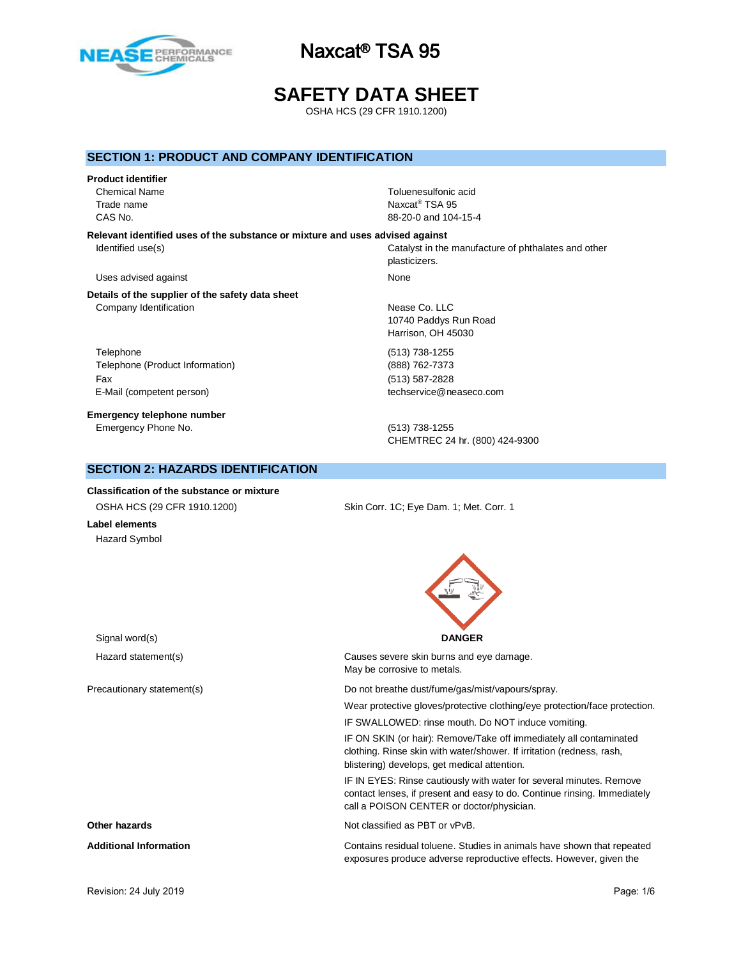

# **SAFETY DATA SHEET**

OSHA HCS (29 CFR 1910.1200)

### **SECTION 1: PRODUCT AND COMPANY IDENTIFICATION**

#### **Product identifier**

Chemical Name Toluenesulfonic acid Trade name

**Relevant identified uses of the substance or mixture and uses advised against**

#### Uses advised against None

**Details of the supplier of the safety data sheet** Company Identification **Nease Co. LLC** 

Telephone (513) 738-1255 Telephone (Product Information) (888) 762-7373 Fax (513) 587-2828 E-Mail (competent person) techservice@neaseco.com

**Emergency telephone number** Emergency Phone No. (513) 738-1255

# **SECTION 2: HAZARDS IDENTIFICATION**

**Classification of the substance or mixture**

Naxcat<sup>®</sup> TSA 95 CAS No. 88-20-0 and 104-15-4

Identified use(s) Catalyst in the manufacture of phthalates and other plasticizers.

10740 Paddys Run Road Harrison, OH 45030

CHEMTREC 24 hr. (800) 424-9300

OSHA HCS (29 CFR 1910.1200) Skin Corr. 1C; Eye Dam. 1; Met. Corr. 1

**Label elements** Hazard Symbol



| Hazard statement(s)           | Causes severe skin burns and eye damage.<br>May be corrosive to metals.                                                                                                                      |
|-------------------------------|----------------------------------------------------------------------------------------------------------------------------------------------------------------------------------------------|
| Precautionary statement(s)    | Do not breathe dust/fume/gas/mist/vapours/spray.                                                                                                                                             |
|                               | Wear protective gloves/protective clothing/eye protection/face protection.                                                                                                                   |
|                               | IF SWALLOWED: rinse mouth. Do NOT induce vomiting.                                                                                                                                           |
|                               | IF ON SKIN (or hair): Remove/Take off immediately all contaminated<br>clothing. Rinse skin with water/shower. If irritation (redness, rash,<br>blistering) develops, get medical attention.  |
|                               | IF IN EYES: Rinse cautiously with water for several minutes. Remove<br>contact lenses, if present and easy to do. Continue rinsing. Immediately<br>call a POISON CENTER or doctor/physician. |
| Other hazards                 | Not classified as PBT or vPvB.                                                                                                                                                               |
| <b>Additional Information</b> | Contains residual toluene. Studies in animals have shown that repeated<br>exposures produce adverse reproductive effects. However, given the                                                 |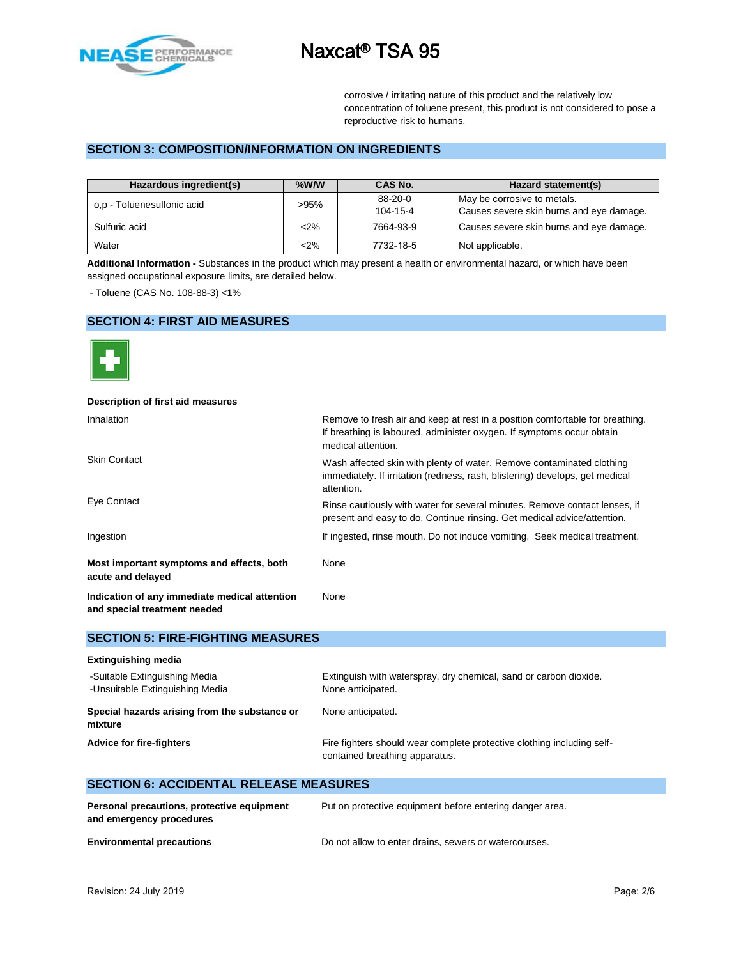

corrosive / irritating nature of this product and the relatively low concentration of toluene present, this product is not considered to pose a reproductive risk to humans.

### **SECTION 3: COMPOSITION/INFORMATION ON INGREDIENTS**

| Hazardous ingredient(s)    | $%$ W/W | CAS No.   | Hazard statement(s)                      |
|----------------------------|---------|-----------|------------------------------------------|
| o,p - Toluenesulfonic acid | >95%    | 88-20-0   | May be corrosive to metals.              |
|                            |         | 104-15-4  | Causes severe skin burns and eye damage. |
| Sulfuric acid              | $2\%$   | 7664-93-9 | Causes severe skin burns and eye damage. |
| Water                      | $2\%$   | 7732-18-5 | Not applicable.                          |

**Additional Information -** Substances in the product which may present a health or environmental hazard, or which have been assigned occupational exposure limits, are detailed below.

- Toluene (CAS No. 108-88-3) <1%

# **SECTION 4: FIRST AID MEASURES**



# **Description of first aid measures**

| Inhalation                                                                    | Remove to fresh air and keep at rest in a position comfortable for breathing.<br>If breathing is laboured, administer oxygen. If symptoms occur obtain<br>medical attention. |  |  |  |  |
|-------------------------------------------------------------------------------|------------------------------------------------------------------------------------------------------------------------------------------------------------------------------|--|--|--|--|
| <b>Skin Contact</b>                                                           | Wash affected skin with plenty of water. Remove contaminated clothing<br>immediately. If irritation (redness, rash, blistering) develops, get medical<br>attention.          |  |  |  |  |
| Eye Contact                                                                   | Rinse cautiously with water for several minutes. Remove contact lenses, if<br>present and easy to do. Continue rinsing. Get medical advice/attention.                        |  |  |  |  |
| Ingestion                                                                     | If ingested, rinse mouth. Do not induce vomiting. Seek medical treatment.                                                                                                    |  |  |  |  |
| Most important symptoms and effects, both<br>acute and delayed                | None                                                                                                                                                                         |  |  |  |  |
| Indication of any immediate medical attention<br>and special treatment needed | None                                                                                                                                                                         |  |  |  |  |

#### **SECTION 5: FIRE-FIGHTING MEASURES**

| <b>Extinguishing media</b>                                       |                                                                                                          |
|------------------------------------------------------------------|----------------------------------------------------------------------------------------------------------|
| -Suitable Extinguishing Media<br>-Unsuitable Extinguishing Media | Extinguish with waterspray, dry chemical, sand or carbon dioxide.<br>None anticipated.                   |
| Special hazards arising from the substance or<br>mixture         | None anticipated.                                                                                        |
| <b>Advice for fire-fighters</b>                                  | Fire fighters should wear complete protective clothing including self-<br>contained breathing apparatus. |

# **SECTION 6: ACCIDENTAL RELEASE MEASURES**

| Personal precautions, protective equipment | Put on protective equipment before entering danger area. |
|--------------------------------------------|----------------------------------------------------------|
| and emergency procedures                   |                                                          |
| <b>Environmental precautions</b>           | Do not allow to enter drains, sewers or watercourses.    |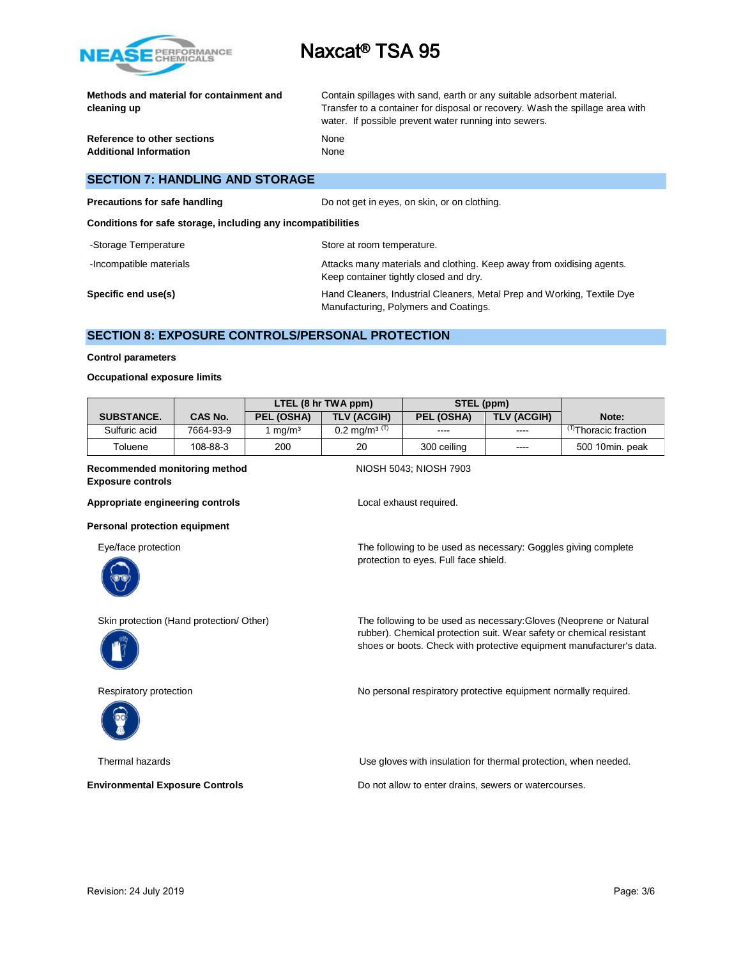

**Methods and material for containment and cleaning up**

**Reference to other sections None Additional Information** None

Contain spillages with sand, earth or any suitable adsorbent material. Transfer to a container for disposal or recovery. Wash the spillage area with water. If possible prevent water running into sewers.

# **SECTION 7: HANDLING AND STORAGE**

| Precautions for safe handling |  |  |
|-------------------------------|--|--|
|                               |  |  |

Do not get in eyes, on skin, or on clothing.

**Conditions for safe storage, including any incompatibilities**

| -Storage Temperature    | Store at room temperature.                                                                                       |
|-------------------------|------------------------------------------------------------------------------------------------------------------|
| -Incompatible materials | Attacks many materials and clothing. Keep away from oxidising agents.<br>Keep container tightly closed and dry.  |
| Specific end use(s)     | Hand Cleaners, Industrial Cleaners, Metal Prep and Working, Textile Dye<br>Manufacturing, Polymers and Coatings. |

### **SECTION 8: EXPOSURE CONTROLS/PERSONAL PROTECTION**

#### **Control parameters**

#### **Occupational exposure limits**

|                   |                | LTEL (8 hr TWA ppm) |                            | STEL (ppm)  |                    |                                |
|-------------------|----------------|---------------------|----------------------------|-------------|--------------------|--------------------------------|
| <b>SUBSTANCE.</b> | <b>CAS No.</b> | PEL (OSHA)          | <b>TLV (ACGIH)</b>         | PEL (OSHA)  | <b>TLV (ACGIH)</b> | Note:                          |
| Sulfuric acid     | 7664-93-9      | ma/m <sup>3</sup>   | $0.2 \text{ ma/m}^{3}$ (T) | ----        | $- - - -$          | <sup>⊓</sup> Thoracic fraction |
| Toluene           | 108-88-3       | 200                 | 20                         | 300 ceiling | -----              | 500 10min. peak                |

#### **Recommended monitoring method NIOSH 5043; NIOSH 7903 Exposure controls**

**Appropriate engineering controls Local exhaust required.** 

### **Personal protection equipment**



Eye/face protection The following to be used as necessary: Goggles giving complete protection to eyes. Full face shield.

Skin protection (Hand protection/ Other) The following to be used as necessary:Gloves (Neoprene or Natural



Respiratory protection **No personal respiratory protective equipment normally required.** 



rubber). Chemical protection suit. Wear safety or chemical resistant shoes or boots. Check with protective equipment manufacturer's data.



Thermal hazards Use gloves with insulation for thermal protection, when needed.

**Environmental Exposure Controls Do not allow to enter drains, sewers or watercourses.**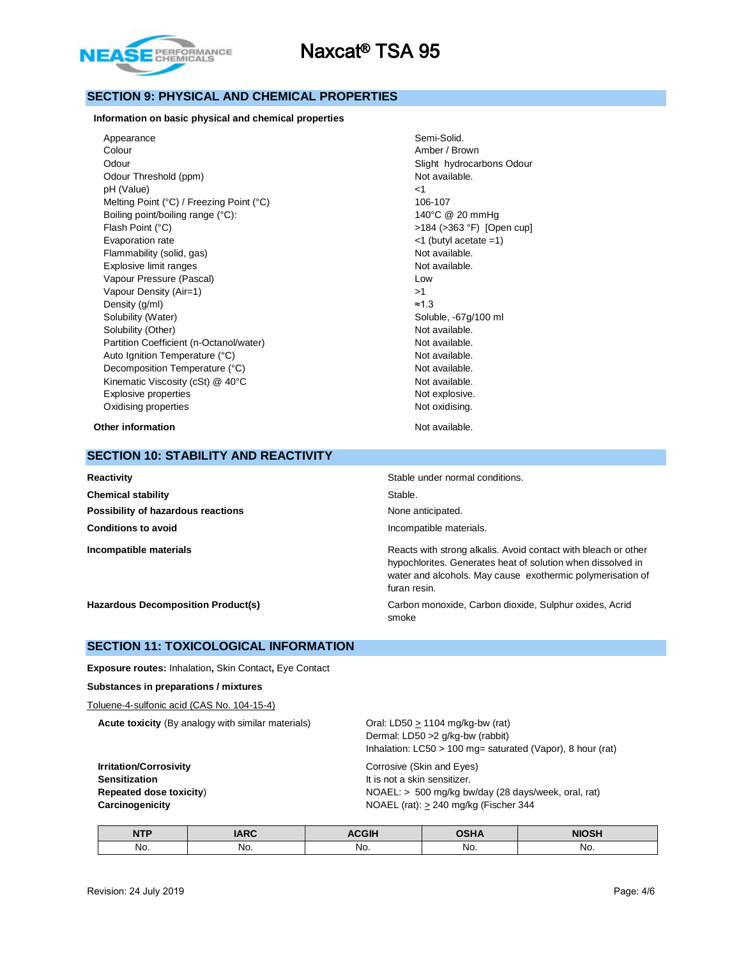

# **SECTION 9: PHYSICAL AND CHEMICAL PROPERTIES**

#### **Information on basic physical and chemical properties**

Appearance Semi-Solid. Colour Amber / Brown Odour **Slight hydrocarbons Odour** Slight hydrocarbons Odour Odour Threshold (ppm) Not available. pH (Value)  $\leq$  1 Melting Point (°C) / Freezing Point (°C) 106-107 Boiling point/boiling range (°C): 140°C @ 20 mmHg Flash Point (°C)  $>184$  (>363 °F) [Open cup] Evaporation rate <1 (butyl acetate =1) Flammability (solid, gas) Not available. Explosive limit ranges **Not available**. Vapour Pressure (Pascal) and the contract of the United States of Low Vapour Density (Air=1) >1 Density (g/ml)  $\approx$  1.3 Solubility (Water) Solubile, -67g/100 ml Solubility (Other) Not available. Partition Coefficient (n-Octanol/water) Not available. Auto Ignition Temperature (°C) and the control of the Not available. Decomposition Temperature (°C) Not available. Kinematic Viscosity (cSt) @ 40°C Not available. Explosive properties Not explosive. Oxidising properties Not oxidising.

**Other information** Not available.

### **SECTION 10: STABILITY AND REACTIVITY**

| Reactivity                         | Stable under normal conditions.                                                                                                                                                                             |
|------------------------------------|-------------------------------------------------------------------------------------------------------------------------------------------------------------------------------------------------------------|
| <b>Chemical stability</b>          | Stable.                                                                                                                                                                                                     |
| Possibility of hazardous reactions | None anticipated.                                                                                                                                                                                           |
| <b>Conditions to avoid</b>         | Incompatible materials.                                                                                                                                                                                     |
| Incompatible materials             | Reacts with strong alkalis. Avoid contact with bleach or other<br>hypochlorites. Generates heat of solution when dissolved in<br>water and alcohols. May cause exothermic polymerisation of<br>furan resin. |
| Hazardous Decomposition Product(s) | Carbon monoxide, Carbon dioxide, Sulphur oxides, Acrid                                                                                                                                                      |

smoke

# **SECTION 11: TOXICOLOGICAL INFORMATION**

**Exposure routes:** Inhalation**,** Skin Contact**,** Eye Contact

#### **Substances in preparations / mixtures**

Toluene-4-sulfonic acid (CAS No. 104-15-4)

**Acute toxicity** (By analogy with similar materials) Oral: LD50 > 1104 mg/kg-bw (rat)

Dermal: LD50 >2 g/kg-bw (rabbit) Inhalation: LC50 > 100 mg= saturated (Vapor), 8 hour (rat)

**Irritation/Corrosivity** Corrosive (Skin and Eyes) **Sensitization It is not a skin sensitizer.** 

**Repeated dose toxicity**) NOAEL: > 500 mg/kg bw/day (28 days/week, oral, rat) **Carcinogenicity Carcinogenicity NOAEL** (rat):  $\geq$  240 mg/kg (Fischer 344

| <b>NTP</b> | ADC | $- - - -$ | <b>OCU 4</b> | .   |
|------------|-----|-----------|--------------|-----|
| No.        | No. | No.       | No.          | No. |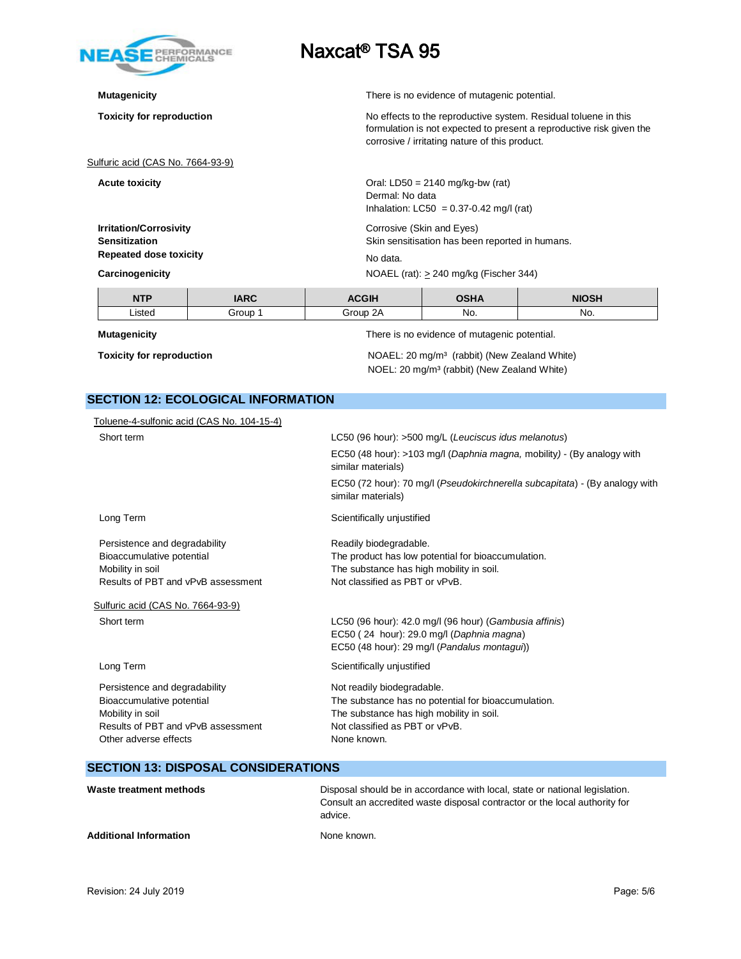

Sulfuric acid (CAS No. 7664-93-9)

**Repeated dose toxicity** No data.

**Mutagenicity** There is no evidence of mutagenic potential.

**Toxicity for reproduction** No effects to the reproductive system. Residual toluene in this formulation is not expected to present a reproductive risk given the corrosive / irritating nature of this product.

**Acute toxicity Cause 2140 mg/kg-bw (rat)** Oral: LD50 = 2140 mg/kg-bw (rat) Dermal: No data Inhalation:  $LC50 = 0.37 - 0.42$  mg/l (rat)

**Irritation/Corrosivity**<br> **IFritation**<br>
Sensitization<br>
Skin sensitisation has been Skin sensitisation has been reported in humans.

**Carcinogenicity Carcinogenicity Carcinogenicity NOAEL** (rat):  $\geq$  240 mg/kg (Fischer 344)

| <b>NTP</b> | <b>IARC</b> | <b>ACGIH</b> | <b>OSHA</b> | <b>NIOSH</b> |
|------------|-------------|--------------|-------------|--------------|
| Listed     | Group       | 2A<br>Group  | No.         | No.          |

**Mutagenicity** There is no evidence of mutagenic potential.

**Toxicity for reproduction NOAEL:** 20 mg/m<sup>3</sup> (rabbit) (New Zealand White) NOEL: 20 mg/m³ (rabbit) (New Zealand White)

# **SECTION 12: ECOLOGICAL INFORMATION**

| Toluene-4-sulfonic acid (CAS No. 104-15-4) |                                                                                                   |
|--------------------------------------------|---------------------------------------------------------------------------------------------------|
| Short term                                 | LC50 (96 hour): >500 mg/L (Leuciscus idus melanotus)                                              |
|                                            | EC50 (48 hour): >103 mg/l (Daphnia magna, mobility) - (By analogy with<br>similar materials)      |
|                                            | EC50 (72 hour): 70 mg/l (Pseudokirchnerella subcapitata) - (By analogy with<br>similar materials) |
| Long Term                                  | Scientifically unjustified                                                                        |
| Persistence and degradability              | Readily biodegradable.                                                                            |
| Bioaccumulative potential                  | The product has low potential for bioaccumulation.                                                |
| Mobility in soil                           | The substance has high mobility in soil.                                                          |
| Results of PBT and vPvB assessment         | Not classified as PBT or vPvB.                                                                    |
| Sulfuric acid (CAS No. 7664-93-9)          |                                                                                                   |
| Short term                                 | LC50 (96 hour): 42.0 mg/l (96 hour) (Gambusia affinis)                                            |
|                                            | EC50 (24 hour): 29.0 mg/l (Daphnia magna)                                                         |
|                                            | EC50 (48 hour): 29 mg/l (Pandalus montagui))                                                      |
| Long Term                                  | Scientifically unjustified                                                                        |
| Persistence and degradability              | Not readily biodegradable.                                                                        |
| Bioaccumulative potential                  | The substance has no potential for bioaccumulation.                                               |
| Mobility in soil                           | The substance has high mobility in soil.                                                          |
| Results of PBT and vPvB assessment         | Not classified as PBT or vPvB.                                                                    |
| Other adverse effects                      | None known.                                                                                       |
|                                            |                                                                                                   |
|                                            |                                                                                                   |

# **SECTION 13: DISPOSAL CONSIDERATIONS**

| Waste treatment methods       | Disposal should be in accordance with local, state or national legislation.<br>Consult an accredited waste disposal contractor or the local authority for<br>advice. |
|-------------------------------|----------------------------------------------------------------------------------------------------------------------------------------------------------------------|
| <b>Additional Information</b> | None known.                                                                                                                                                          |